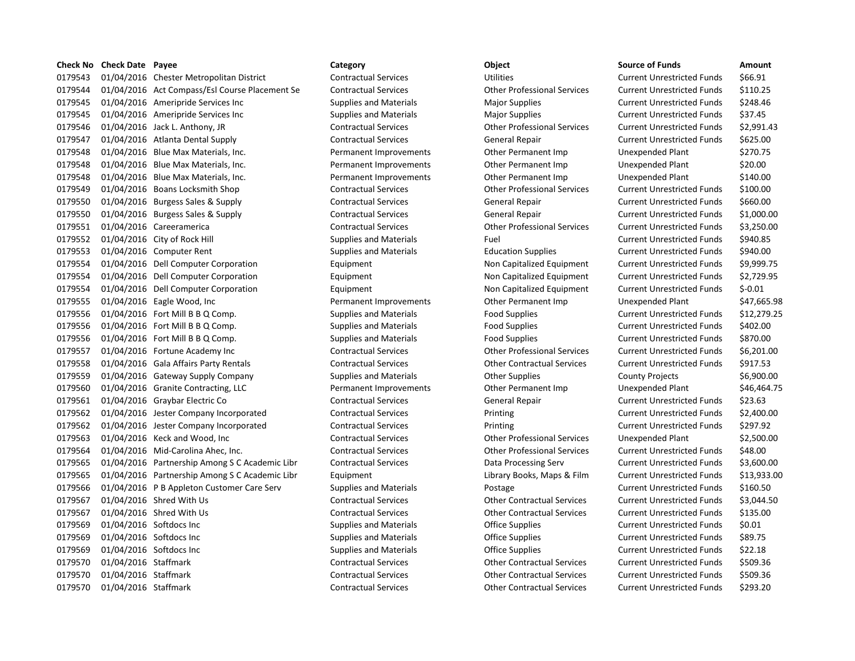| Check No | <b>Check Date Payee</b> |                                                | Category                      | Object                             | <b>Source of Funds</b>            | Amount     |
|----------|-------------------------|------------------------------------------------|-------------------------------|------------------------------------|-----------------------------------|------------|
| 0179543  |                         | 01/04/2016 Chester Metropolitan District       | <b>Contractual Services</b>   | Utilities                          | <b>Current Unrestricted Funds</b> | \$66.91    |
| 0179544  |                         | 01/04/2016 Act Compass/Esl Course Placement Se | <b>Contractual Services</b>   | <b>Other Professional Services</b> | <b>Current Unrestricted Funds</b> | \$110.25   |
| 0179545  |                         | 01/04/2016 Ameripride Services Inc             | <b>Supplies and Materials</b> | <b>Major Supplies</b>              | <b>Current Unrestricted Funds</b> | \$248.46   |
| 0179545  |                         | 01/04/2016 Ameripride Services Inc             | <b>Supplies and Materials</b> | <b>Major Supplies</b>              | <b>Current Unrestricted Funds</b> | \$37.45    |
| 0179546  |                         | 01/04/2016 Jack L. Anthony, JR                 | <b>Contractual Services</b>   | <b>Other Professional Services</b> | <b>Current Unrestricted Funds</b> | \$2,991.4  |
| 0179547  |                         | 01/04/2016 Atlanta Dental Supply               | <b>Contractual Services</b>   | <b>General Repair</b>              | <b>Current Unrestricted Funds</b> | \$625.00   |
| 0179548  |                         | 01/04/2016 Blue Max Materials, Inc.            | Permanent Improvements        | Other Permanent Imp                | Unexpended Plant                  | \$270.75   |
| 0179548  |                         | 01/04/2016 Blue Max Materials, Inc.            | Permanent Improvements        | Other Permanent Imp                | Unexpended Plant                  | \$20.00    |
| 0179548  |                         | 01/04/2016 Blue Max Materials, Inc.            | Permanent Improvements        | Other Permanent Imp                | Unexpended Plant                  | \$140.00   |
| 0179549  |                         | 01/04/2016 Boans Locksmith Shop                | <b>Contractual Services</b>   | <b>Other Professional Services</b> | <b>Current Unrestricted Funds</b> | \$100.00   |
| 0179550  |                         | 01/04/2016 Burgess Sales & Supply              | <b>Contractual Services</b>   | <b>General Repair</b>              | <b>Current Unrestricted Funds</b> | \$660.00   |
| 0179550  |                         | 01/04/2016 Burgess Sales & Supply              | <b>Contractual Services</b>   | General Repair                     | <b>Current Unrestricted Funds</b> | $$1,000$ . |
| 0179551  |                         | 01/04/2016 Careeramerica                       | <b>Contractual Services</b>   | <b>Other Professional Services</b> | <b>Current Unrestricted Funds</b> | \$3,250.0  |
| 0179552  |                         | 01/04/2016 City of Rock Hill                   | <b>Supplies and Materials</b> | Fuel                               | <b>Current Unrestricted Funds</b> | \$940.85   |
| 0179553  |                         | 01/04/2016 Computer Rent                       | <b>Supplies and Materials</b> | <b>Education Supplies</b>          | <b>Current Unrestricted Funds</b> | \$940.00   |
| 0179554  |                         | 01/04/2016 Dell Computer Corporation           | Equipment                     | Non Capitalized Equipment          | <b>Current Unrestricted Funds</b> | \$9,999.7  |
| 0179554  |                         | 01/04/2016 Dell Computer Corporation           | Equipment                     | Non Capitalized Equipment          | <b>Current Unrestricted Funds</b> | \$2,729.9  |
| 0179554  |                         | 01/04/2016 Dell Computer Corporation           | Equipment                     | Non Capitalized Equipment          | <b>Current Unrestricted Funds</b> | \$-0.01    |
| 0179555  |                         | 01/04/2016 Eagle Wood, Inc                     | Permanent Improvements        | Other Permanent Imp                | Unexpended Plant                  | \$47,665   |
| 0179556  |                         | 01/04/2016 Fort Mill B B Q Comp.               | <b>Supplies and Materials</b> | <b>Food Supplies</b>               | <b>Current Unrestricted Funds</b> | \$12,279   |
| 0179556  |                         | 01/04/2016 Fort Mill B B Q Comp.               | <b>Supplies and Materials</b> | <b>Food Supplies</b>               | <b>Current Unrestricted Funds</b> | \$402.00   |
| 0179556  |                         | 01/04/2016 Fort Mill B B Q Comp.               | <b>Supplies and Materials</b> | <b>Food Supplies</b>               | <b>Current Unrestricted Funds</b> | \$870.00   |
| 0179557  |                         | 01/04/2016 Fortune Academy Inc                 | <b>Contractual Services</b>   | <b>Other Professional Services</b> | <b>Current Unrestricted Funds</b> | \$6,201.0  |
| 0179558  |                         | 01/04/2016 Gala Affairs Party Rentals          | <b>Contractual Services</b>   | <b>Other Contractual Services</b>  | <b>Current Unrestricted Funds</b> | \$917.53   |
| 0179559  |                         | 01/04/2016 Gateway Supply Company              | <b>Supplies and Materials</b> | <b>Other Supplies</b>              | <b>County Projects</b>            | \$6,900.0  |
| 0179560  |                         | 01/04/2016 Granite Contracting, LLC            | Permanent Improvements        | Other Permanent Imp                | Unexpended Plant                  | \$46,464   |
| 0179561  |                         | 01/04/2016 Graybar Electric Co                 | <b>Contractual Services</b>   | General Repair                     | <b>Current Unrestricted Funds</b> | \$23.63    |
| 0179562  |                         | 01/04/2016 Jester Company Incorporated         | <b>Contractual Services</b>   | Printing                           | <b>Current Unrestricted Funds</b> | \$2,400.0  |
| 0179562  |                         | 01/04/2016 Jester Company Incorporated         | <b>Contractual Services</b>   | Printing                           | <b>Current Unrestricted Funds</b> | \$297.92   |
| 0179563  |                         | 01/04/2016 Keck and Wood, Inc                  | <b>Contractual Services</b>   | <b>Other Professional Services</b> | Unexpended Plant                  | \$2,500.0  |
| 0179564  |                         | 01/04/2016 Mid-Carolina Ahec, Inc.             | <b>Contractual Services</b>   | <b>Other Professional Services</b> | <b>Current Unrestricted Funds</b> | \$48.00    |
| 0179565  |                         | 01/04/2016 Partnership Among S C Academic Libr | <b>Contractual Services</b>   | Data Processing Serv               | <b>Current Unrestricted Funds</b> | \$3,600.0  |
| 0179565  |                         | 01/04/2016 Partnership Among S C Academic Libr | Equipment                     | Library Books, Maps & Film         | <b>Current Unrestricted Funds</b> | \$13,933   |
| 0179566  |                         | 01/04/2016 P B Appleton Customer Care Serv     | <b>Supplies and Materials</b> | Postage                            | <b>Current Unrestricted Funds</b> | \$160.50   |
| 0179567  |                         | 01/04/2016 Shred With Us                       | <b>Contractual Services</b>   | <b>Other Contractual Services</b>  | <b>Current Unrestricted Funds</b> | \$3,044.5  |
| 0179567  |                         | 01/04/2016 Shred With Us                       | <b>Contractual Services</b>   | <b>Other Contractual Services</b>  | <b>Current Unrestricted Funds</b> | \$135.00   |
| 0179569  |                         | 01/04/2016 Softdocs Inc                        | <b>Supplies and Materials</b> | Office Supplies                    | <b>Current Unrestricted Funds</b> | \$0.01     |
| 0179569  |                         | 01/04/2016 Softdocs Inc                        | <b>Supplies and Materials</b> | Office Supplies                    | <b>Current Unrestricted Funds</b> | \$89.75    |
| 0179569  |                         | 01/04/2016 Softdocs Inc                        | <b>Supplies and Materials</b> | Office Supplies                    | <b>Current Unrestricted Funds</b> | \$22.18    |
| 0179570  | 01/04/2016 Staffmark    |                                                | <b>Contractual Services</b>   | <b>Other Contractual Services</b>  | <b>Current Unrestricted Funds</b> | \$509.36   |
| 0179570  | 01/04/2016 Staffmark    |                                                | <b>Contractual Services</b>   | <b>Other Contractual Services</b>  | <b>Current Unrestricted Funds</b> | \$509.36   |
| 0179570  | 01/04/2016 Staffmark    |                                                | <b>Contractual Services</b>   | <b>Other Contractual Services</b>  | <b>Current Unrestricted Funds</b> | \$293.20   |

# Contractual Services **Contractual Services** Utilities Current Unrestricted Funds \$66.91 0179544 01/04/2016 Act Compass/Esl Course Placement Se Contractual Services Other Professional Services Current Unrestricted Funds \$110.25 Supplies and Materials **Current Services Inc.** Major Supplies **Current Unrestricted Funds** 5248.46 0179545 01/04/2016 Ameripride Services Inc Supplies and Materials Major Supplies Current Unrestricted Funds \$37.45 0179546 01/04/2016 Jack L. Anthony, JR Contractual Services Other Professional Services Current Unrestricted Funds \$2,991.43 0179547 01/04/2016 Atlanta Dental Supply Contractual Services General Repair Current Unrestricted Funds \$625.00 0179548 01/04/2016 Blue Max Materials, Inc. Permanent Improvements Other Permanent Imp Unexpended Plant \$270.75 Permanent Improvements **Other Permanent Imp** Unexpended Plant \$20.00 Permanent Improvements **1140.00** Other Permanent Imp Unexpended Plant \$140.00 0179549 01/04/2016 Boans Locksmith Shop Contractual Services Other Professional Services Current Unrestricted Funds \$100.00 0179550 01/04/2016 Burgess Sales & Supply Contractual Services General Repair Current Unrestricted Funds \$660.00 0179550 01/04/2016 Burgess Sales & Supply Contractual Services General Repair Current Unrestricted Funds \$1,000.00 0179551 01/04/2016 Careeramerica Contractual Services Other Professional Services Current Unrestricted Funds \$3,250.00 0179552 01/04/2016 City of Rock Hill Supplies and Materials Fuel Current Unrestricted Funds \$940.85 0179553 01/04/2016 Computer Rent Supplies and Materials Education Supplies Current Unrestricted Funds \$940.00 Equipment 1117554 011/04/2016 Deliver Computer Corporation Equipment Current Unrestricted Funds \$9,999.75 Equipment 1995 2017 2017 Delived Equipment Current Unrestricted Funds 52,729.95 0179554 01/04/2016 Dell Computer Corporation Equipment Non Capitalized Equipment Current Unrestricted Funds \$-0.01 Permanent Improvements **Other Permanent Imp** Unexpended Plant \$47,665.98 0179556 01/04/2016 Fort Mill B B Q Comp. Supplies and Materials Food Supplies Current Unrestricted Funds \$12,279.25 Supplies and Materials **Food Supplies** Food Supplies Current Unrestricted Funds \$402.00 0179556 01/04/2016 Fort Mill B B Q Comp. Supplies and Materials Food Supplies Current Unrestricted Funds \$870.00 0179557 01/04/2016 Fortune Academy Inc Contractual Services Other Professional Services Current Unrestricted Funds \$6,201.00 0179558 01/04/2016 Gala Affairs Party Rentals Contractual Services Other Contractual Services Current Unrestricted Funds \$917.53 0179559 01/04/2016 Gateway Supply Company Supplies and Materials Other Supplies County Projects \$6,900.00 Permanent Improvements **Other Permanent Imp** Unexpended Plant \$46,464.75 Contractual Services **Contractual Services** General Repair **Current Unrestricted Funds** \$23.63 0179562 01/04/2016 Jester Company Incorporated Contractual Services Printing Current Unrestricted Funds \$2,400.00 Contractual Services **12016 12016 Printing 12016 Contractual Services Printing Current Unrestricted Funds \$297.92** Contractual Services **12,500.00** Other Professional Services Unexpended Plant \$2,500.00 0179564 01/04/2016 Mid-Carolina Ahec, Inc. Contractual Services Other Professional Services Current Unrestricted Funds \$48.00 Contractual Services **CONTEN CONTRACTE CONTRACTE CONTRACTE AMONG S** 2,600.00 Equipment **Equipment** Library Books, Maps & Film Current Unrestricted Funds \$13,933.00 Supplies and Materials **Custom Custom Custom Current Unrestricted Funds** 5160.50 0179567 01/04/2016 Shred With Us Contractual Services Other Contractual Services Current Unrestricted Funds \$3,044.50 0179567 01/04/2016 Shred With Us Contractual Services Other Contractual Services Current Unrestricted Funds \$135.00 Supplies and Materials **Current University Current Unrestricted Funds** \$0.01 Supplies and Materials **Current Current Unrestricted Funds** \$89.75 Supplies and Materials **Current University** Current Unrestricted Funds 522.18 0179570 01/04/2016 Staffmark Contractual Services Other Contractual Services Current Unrestricted Funds \$509.36 0179570 01/04/2016 Staffmark Contractual Services Other Contractual Services Current Unrestricted Funds \$509.36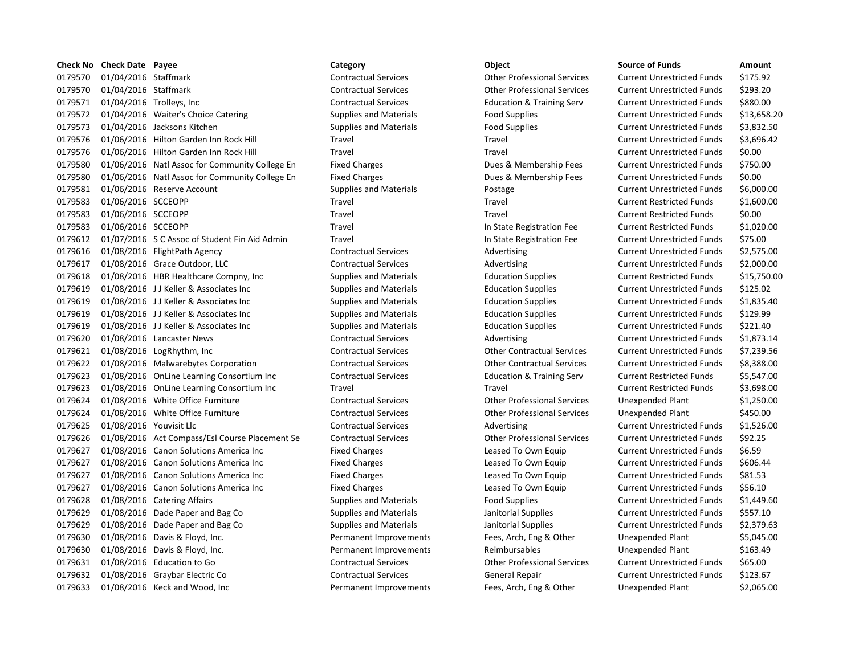| <b>Check No</b> | <b>Check Date Payee</b> |                                                | Category                      | Object                               | <b>Source of Funds</b>            | Amount    |
|-----------------|-------------------------|------------------------------------------------|-------------------------------|--------------------------------------|-----------------------------------|-----------|
| 0179570         | 01/04/2016 Staffmark    |                                                | <b>Contractual Services</b>   | <b>Other Professional Services</b>   | <b>Current Unrestricted Funds</b> | \$175.92  |
| 0179570         | 01/04/2016 Staffmark    |                                                | <b>Contractual Services</b>   | <b>Other Professional Services</b>   | <b>Current Unrestricted Funds</b> | \$293.20  |
| 0179571         |                         | 01/04/2016 Trolleys, Inc.                      | <b>Contractual Services</b>   | <b>Education &amp; Training Serv</b> | <b>Current Unrestricted Funds</b> | \$880.00  |
| 0179572         |                         | 01/04/2016 Waiter's Choice Catering            | <b>Supplies and Materials</b> | <b>Food Supplies</b>                 | <b>Current Unrestricted Funds</b> | \$13,658  |
| 0179573         |                         | 01/04/2016 Jacksons Kitchen                    | <b>Supplies and Materials</b> | <b>Food Supplies</b>                 | <b>Current Unrestricted Funds</b> | \$3,832.5 |
| 0179576         |                         | 01/06/2016 Hilton Garden Inn Rock Hill         | Travel                        | Travel                               | <b>Current Unrestricted Funds</b> | \$3,696.4 |
| 0179576         |                         | 01/06/2016 Hilton Garden Inn Rock Hill         | Travel                        | Travel                               | <b>Current Unrestricted Funds</b> | \$0.00    |
| 0179580         |                         | 01/06/2016 Natl Assoc for Community College En | <b>Fixed Charges</b>          | Dues & Membership Fees               | <b>Current Unrestricted Funds</b> | \$750.00  |
| 0179580         |                         | 01/06/2016 Natl Assoc for Community College En | <b>Fixed Charges</b>          | Dues & Membership Fees               | <b>Current Unrestricted Funds</b> | \$0.00    |
| 0179581         |                         | 01/06/2016 Reserve Account                     | <b>Supplies and Materials</b> | Postage                              | <b>Current Unrestricted Funds</b> | \$6,000.0 |
| 0179583         | 01/06/2016 SCCEOPP      |                                                | Travel                        | Travel                               | <b>Current Restricted Funds</b>   | \$1,600.0 |
| 0179583         | 01/06/2016 SCCEOPP      |                                                | Travel                        | Travel                               | <b>Current Restricted Funds</b>   | \$0.00    |
| 0179583         | 01/06/2016 SCCEOPP      |                                                | Travel                        | In State Registration Fee            | <b>Current Restricted Funds</b>   | \$1,020.0 |
| 0179612         |                         | 01/07/2016 S C Assoc of Student Fin Aid Admin  | Travel                        | In State Registration Fee            | <b>Current Unrestricted Funds</b> | \$75.00   |
| 0179616         |                         | 01/08/2016 FlightPath Agency                   | <b>Contractual Services</b>   | Advertising                          | <b>Current Unrestricted Funds</b> | \$2,575.0 |
| 0179617         |                         | 01/08/2016 Grace Outdoor, LLC                  | <b>Contractual Services</b>   | Advertising                          | <b>Current Unrestricted Funds</b> | \$2,000.0 |
| 0179618         |                         | 01/08/2016 HBR Healthcare Compny, Inc.         | <b>Supplies and Materials</b> | <b>Education Supplies</b>            | <b>Current Restricted Funds</b>   | \$15,750  |
| 0179619         |                         | 01/08/2016 JJ Keller & Associates Inc          | <b>Supplies and Materials</b> | <b>Education Supplies</b>            | <b>Current Unrestricted Funds</b> | \$125.02  |
| 0179619         |                         | 01/08/2016 JJ Keller & Associates Inc          | <b>Supplies and Materials</b> | <b>Education Supplies</b>            | <b>Current Unrestricted Funds</b> | \$1,835.4 |
| 0179619         |                         | 01/08/2016 JJ Keller & Associates Inc          | <b>Supplies and Materials</b> | <b>Education Supplies</b>            | <b>Current Unrestricted Funds</b> | \$129.99  |
| 0179619         |                         | 01/08/2016 JJ Keller & Associates Inc          | <b>Supplies and Materials</b> | <b>Education Supplies</b>            | <b>Current Unrestricted Funds</b> | \$221.40  |
| 0179620         |                         | 01/08/2016 Lancaster News                      | <b>Contractual Services</b>   | Advertising                          | <b>Current Unrestricted Funds</b> | \$1,873.1 |
| 0179621         |                         | 01/08/2016 LogRhythm, Inc                      | <b>Contractual Services</b>   | <b>Other Contractual Services</b>    | <b>Current Unrestricted Funds</b> | \$7,239.5 |
| 0179622         |                         | 01/08/2016 Malwarebytes Corporation            | <b>Contractual Services</b>   | <b>Other Contractual Services</b>    | <b>Current Unrestricted Funds</b> | \$8,388.0 |
| 0179623         |                         | 01/08/2016 OnLine Learning Consortium Inc      | <b>Contractual Services</b>   | <b>Education &amp; Training Serv</b> | <b>Current Restricted Funds</b>   | \$5,547.0 |
| 0179623         |                         | 01/08/2016 OnLine Learning Consortium Inc      | Travel                        | Travel                               | <b>Current Restricted Funds</b>   | \$3,698.0 |
| 0179624         |                         | 01/08/2016 White Office Furniture              | <b>Contractual Services</b>   | <b>Other Professional Services</b>   | Unexpended Plant                  | \$1,250.0 |
| 0179624         |                         | 01/08/2016 White Office Furniture              | <b>Contractual Services</b>   | <b>Other Professional Services</b>   | Unexpended Plant                  | \$450.00  |
| 0179625         | 01/08/2016 Youvisit Llc |                                                | <b>Contractual Services</b>   | Advertising                          | <b>Current Unrestricted Funds</b> | \$1,526.0 |
| 0179626         |                         | 01/08/2016 Act Compass/Esl Course Placement Se | <b>Contractual Services</b>   | <b>Other Professional Services</b>   | <b>Current Unrestricted Funds</b> | \$92.25   |
| 0179627         |                         | 01/08/2016 Canon Solutions America Inc         | <b>Fixed Charges</b>          | Leased To Own Equip                  | <b>Current Unrestricted Funds</b> | \$6.59    |
| 0179627         |                         | 01/08/2016 Canon Solutions America Inc         | <b>Fixed Charges</b>          | Leased To Own Equip                  | <b>Current Unrestricted Funds</b> | \$606.44  |
| 0179627         |                         | 01/08/2016 Canon Solutions America Inc         | <b>Fixed Charges</b>          | Leased To Own Equip                  | <b>Current Unrestricted Funds</b> | \$81.53   |
| 0179627         |                         | 01/08/2016 Canon Solutions America Inc         | <b>Fixed Charges</b>          | Leased To Own Equip                  | <b>Current Unrestricted Funds</b> | \$56.10   |
| 0179628         |                         | 01/08/2016 Catering Affairs                    | <b>Supplies and Materials</b> | <b>Food Supplies</b>                 | <b>Current Unrestricted Funds</b> | \$1,449.6 |
| 0179629         |                         | 01/08/2016 Dade Paper and Bag Co               | <b>Supplies and Materials</b> | Janitorial Supplies                  | <b>Current Unrestricted Funds</b> | \$557.10  |
| 0179629         |                         | 01/08/2016 Dade Paper and Bag Co               | <b>Supplies and Materials</b> | Janitorial Supplies                  | <b>Current Unrestricted Funds</b> | \$2,379.6 |
| 0179630         |                         | 01/08/2016 Davis & Floyd, Inc.                 | Permanent Improvements        | Fees, Arch, Eng & Other              | Unexpended Plant                  | \$5,045.0 |
| 0179630         |                         | 01/08/2016 Davis & Floyd, Inc.                 | Permanent Improvements        | Reimbursables                        | Unexpended Plant                  | \$163.49  |
| 0179631         |                         | 01/08/2016 Education to Go                     | <b>Contractual Services</b>   | <b>Other Professional Services</b>   | <b>Current Unrestricted Funds</b> | \$65.00   |
| 0179632         |                         | 01/08/2016 Graybar Electric Co                 | <b>Contractual Services</b>   | General Repair                       | <b>Current Unrestricted Funds</b> | \$123.67  |
| 0179633         |                         | 01/08/2016 Keck and Wood, Inc                  | Permanent Improvements        | Fees, Arch, Eng & Other              | Unexpended Plant                  | \$2,065.0 |

# 0179570 01/04/2016 Staffmark Contractual Services Other Professional Services Current Unrestricted Funds \$293.20 0179571 01/04/2016 Trolleys, Inc Contractual Services Education & Training Serv Current Unrestricted Funds \$880.00 0179572 01/04/2016 Waiter's Choice Catering Supplies and Materials Food Supplies Current Unrestricted Funds \$13,658.20 0179573 01/04/2016 Jacksons Kitchen Supplies and Materials Food Supplies Current Unrestricted Funds \$3,832.50 0179576 01/06/2016 Hilton Garden Inn Rock Hill Travel Travel Current Unrestricted Funds \$3,696.42 0179576 01/06/2016 Hilton Garden Inn Rock Hill Travel Travel Current Unrestricted Funds \$0.00 Fixed Charges **12016 12016 National Associate Engine Constructed Constructed Funds** 5750.00 Fixed Charges The Community Community Community Community Community Community Conservation Current Unrestricted Funds \$0.00 Supplies and Materials **Current Supplies and Materials Postage Current Unrestricted Funds \$6,000.00** Travel **Travel Travel Travel Current Restricted Funds** \$1,600.00 Travel **Travel School School School School Travel Current Restricted Funds 50.00** Travel **11785 1179583 In State Registration Fee** Current Restricted Funds \$1,020.00 Travel **12016 1217 Contrarest Entertainment Finance Current Unrestricted Funds \$75.00** Contractual Services **Advertising Current Unrestricted Funds** \$2,575.00 Contractual Services **Contractual Services** Advertising Current Unrestricted Funds \$2,000.00 0179618 01/08/2016 HBR Healthcare Compny, Inc Supplies and Materials Education Supplies Current Restricted Funds \$15,750.00 Supplies and Materials **Education Supplies** Current Unrestricted Funds \$125.02 0179619 01/08/2016 J J Keller & Associates Inc Supplies and Materials Education Supplies Current Unrestricted Funds \$1,835.40 0179619 01/08/2016 J J Keller & Associates Inc Supplies and Materials Education Supplies Current Unrestricted Funds \$129.99 Supplies and Materials **Education Supplies** Current Unrestricted Funds \$221.40 0179620 01/08/2016 Lancaster News Contractual Services Advertising Current Unrestricted Funds \$1,873.14 Contractual Services **Contractual Services** Current Unrestricted Funds \$7,239.56 0179622 01/08/2016 Malwarebytes Corporation Contractual Services Other Contractual Services Current Unrestricted Funds \$8,388.00 Contractual Services **1.2016 Inc. 2016** Education & Training Serv Current Restricted Funds 55,547.00 Travel **Travel Current Restricted Funds** 53,698.00 0179624 01/08/2016 White Office Furniture Contractual Services Other Professional Services Unexpended Plant \$1,250.00 0179624 01/08/2016 White Office Furniture Contractual Services Other Professional Services Unexpended Plant \$450.00 Contractual Services **21,526.00** Advertising Current Unrestricted Funds \$1,526.00 0179626 01/08/2016 Act Compass/Esl Course Placement Se Contractual Services Other Professional Services Current Unrestricted Funds \$92.25 Fixed Charges **1796** Leased To Own Equip Current Unrestricted Funds \$6.59 Fixed Charges **Canon Canon Solutions America Inc.** Current Unrestricted Funds \$606.44 Fixed Charges **Canon Canon Solutions America** Leased To Own Equip Current Unrestricted Funds \$81.53 Fixed Charges **12020 Canon Solutions America** Leased To Own Equip Current Unrestricted Funds \$56.10 0179628 01/08/2016 Catering Affairs Supplies and Materials Food Supplies Current Unrestricted Funds \$1,449.60 0179629 01/08/2016 Dade Paper and Bag Co Supplies and Materials Janitorial Supplies Current Unrestricted Funds \$557.10 0179629 01/08/2016 Dade Paper and Bag Co Supplies and Materials Janitorial Supplies Current Unrestricted Funds \$2,379.63 Permanent Improvements Fees, Arch, Eng & Other Unexpended Plant \$5,045.00 Permanent Improvements **163.49** Reimbursables **Reimbursables** Unexpended Plant \$163.49 0179631 01/08/2016 Education to Go Contractual Services Other Professional Services Current Unrestricted Funds \$65.00 0179632 01/08/2016 Graybar Electric Co Contractual Services General Repair Current Unrestricted Funds \$123.67 Permanent Improvements Fees, Arch, Eng & Other Unexpended Plant \$2,065.00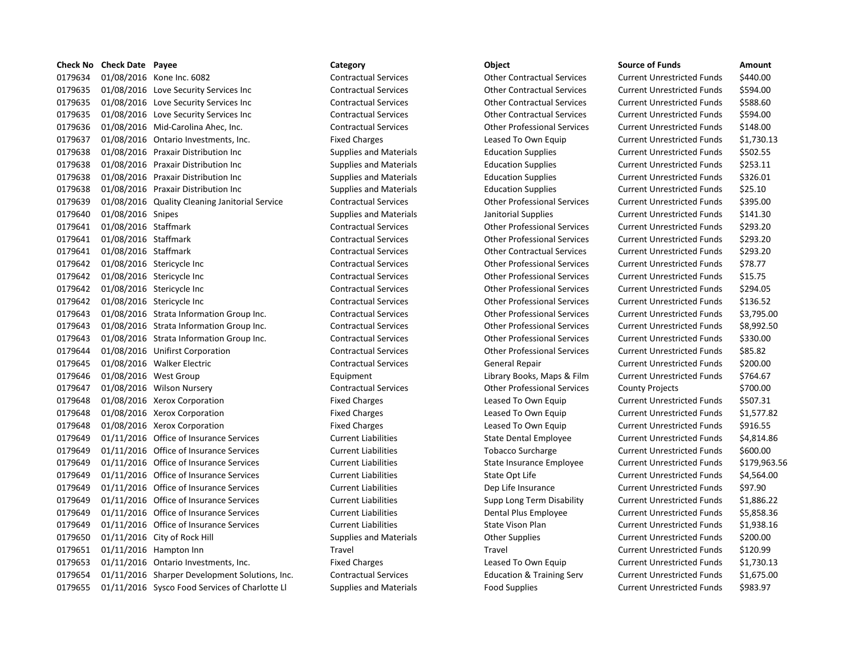| <b>Check No</b> | <b>Check Date Payee</b> |                                                | Category                      | Object                               | <b>Source of Funds</b>            | Amount    |
|-----------------|-------------------------|------------------------------------------------|-------------------------------|--------------------------------------|-----------------------------------|-----------|
| 0179634         |                         | 01/08/2016 Kone Inc. 6082                      | <b>Contractual Services</b>   | <b>Other Contractual Services</b>    | <b>Current Unrestricted Funds</b> | \$440.00  |
| 0179635         |                         | 01/08/2016 Love Security Services Inc          | <b>Contractual Services</b>   | <b>Other Contractual Services</b>    | <b>Current Unrestricted Funds</b> | \$594.00  |
| 0179635         |                         | 01/08/2016 Love Security Services Inc          | <b>Contractual Services</b>   | <b>Other Contractual Services</b>    | <b>Current Unrestricted Funds</b> | \$588.60  |
| 0179635         |                         | 01/08/2016 Love Security Services Inc          | <b>Contractual Services</b>   | <b>Other Contractual Services</b>    | <b>Current Unrestricted Funds</b> | \$594.00  |
| 0179636         |                         | 01/08/2016 Mid-Carolina Ahec, Inc.             | <b>Contractual Services</b>   | <b>Other Professional Services</b>   | <b>Current Unrestricted Funds</b> | \$148.00  |
| 0179637         |                         | 01/08/2016 Ontario Investments, Inc.           | <b>Fixed Charges</b>          | Leased To Own Equip                  | <b>Current Unrestricted Funds</b> | \$1,730.1 |
| 0179638         |                         | 01/08/2016 Praxair Distribution Inc            | <b>Supplies and Materials</b> | <b>Education Supplies</b>            | <b>Current Unrestricted Funds</b> | \$502.55  |
| 0179638         |                         | 01/08/2016 Praxair Distribution Inc            | <b>Supplies and Materials</b> | <b>Education Supplies</b>            | <b>Current Unrestricted Funds</b> | \$253.11  |
| 0179638         |                         | 01/08/2016 Praxair Distribution Inc            | <b>Supplies and Materials</b> | <b>Education Supplies</b>            | <b>Current Unrestricted Funds</b> | \$326.01  |
| 0179638         |                         | 01/08/2016 Praxair Distribution Inc            | <b>Supplies and Materials</b> | <b>Education Supplies</b>            | <b>Current Unrestricted Funds</b> | \$25.10   |
| 0179639         |                         | 01/08/2016 Quality Cleaning Janitorial Service | <b>Contractual Services</b>   | <b>Other Professional Services</b>   | <b>Current Unrestricted Funds</b> | \$395.00  |
| 0179640         | 01/08/2016 Snipes       |                                                | <b>Supplies and Materials</b> | Janitorial Supplies                  | <b>Current Unrestricted Funds</b> | \$141.30  |
| 0179641         | 01/08/2016 Staffmark    |                                                | <b>Contractual Services</b>   | <b>Other Professional Services</b>   | <b>Current Unrestricted Funds</b> | \$293.20  |
| 0179641         | 01/08/2016 Staffmark    |                                                | <b>Contractual Services</b>   | <b>Other Professional Services</b>   | <b>Current Unrestricted Funds</b> | \$293.20  |
| 0179641         | 01/08/2016 Staffmark    |                                                | <b>Contractual Services</b>   | <b>Other Contractual Services</b>    | <b>Current Unrestricted Funds</b> | \$293.20  |
| 0179642         |                         | 01/08/2016 Stericycle Inc                      | <b>Contractual Services</b>   | <b>Other Professional Services</b>   | <b>Current Unrestricted Funds</b> | \$78.77   |
| 0179642         |                         | 01/08/2016 Stericycle Inc                      | <b>Contractual Services</b>   | <b>Other Professional Services</b>   | <b>Current Unrestricted Funds</b> | \$15.75   |
| 0179642         |                         | 01/08/2016 Stericycle Inc                      | <b>Contractual Services</b>   | <b>Other Professional Services</b>   | <b>Current Unrestricted Funds</b> | \$294.05  |
| 0179642         |                         | 01/08/2016 Stericycle Inc                      | <b>Contractual Services</b>   | <b>Other Professional Services</b>   | <b>Current Unrestricted Funds</b> | \$136.52  |
| 0179643         |                         | 01/08/2016 Strata Information Group Inc.       | <b>Contractual Services</b>   | <b>Other Professional Services</b>   | <b>Current Unrestricted Funds</b> | \$3,795.0 |
| 0179643         |                         | 01/08/2016 Strata Information Group Inc.       | <b>Contractual Services</b>   | <b>Other Professional Services</b>   | <b>Current Unrestricted Funds</b> | \$8,992.5 |
| 0179643         |                         | 01/08/2016 Strata Information Group Inc.       | <b>Contractual Services</b>   | <b>Other Professional Services</b>   | <b>Current Unrestricted Funds</b> | \$330.00  |
| 0179644         |                         | 01/08/2016 Unifirst Corporation                | <b>Contractual Services</b>   | <b>Other Professional Services</b>   | <b>Current Unrestricted Funds</b> | \$85.82   |
| 0179645         |                         | 01/08/2016 Walker Electric                     | <b>Contractual Services</b>   | General Repair                       | <b>Current Unrestricted Funds</b> | \$200.00  |
| 0179646         |                         | 01/08/2016 West Group                          | Equipment                     | Library Books, Maps & Film           | <b>Current Unrestricted Funds</b> | \$764.67  |
| 0179647         |                         | 01/08/2016 Wilson Nursery                      | <b>Contractual Services</b>   | <b>Other Professional Services</b>   | <b>County Projects</b>            | \$700.00  |
| 0179648         |                         | 01/08/2016 Xerox Corporation                   | <b>Fixed Charges</b>          | Leased To Own Equip                  | <b>Current Unrestricted Funds</b> | \$507.31  |
| 0179648         |                         | 01/08/2016 Xerox Corporation                   | <b>Fixed Charges</b>          | Leased To Own Equip                  | <b>Current Unrestricted Funds</b> | \$1,577.8 |
| 0179648         |                         | 01/08/2016 Xerox Corporation                   | <b>Fixed Charges</b>          | Leased To Own Equip                  | <b>Current Unrestricted Funds</b> | \$916.55  |
| 0179649         |                         | 01/11/2016 Office of Insurance Services        | <b>Current Liabilities</b>    | <b>State Dental Employee</b>         | <b>Current Unrestricted Funds</b> | \$4,814.8 |
| 0179649         |                         | 01/11/2016 Office of Insurance Services        | <b>Current Liabilities</b>    | <b>Tobacco Surcharge</b>             | <b>Current Unrestricted Funds</b> | \$600.00  |
| 0179649         |                         | 01/11/2016 Office of Insurance Services        | <b>Current Liabilities</b>    | State Insurance Employee             | <b>Current Unrestricted Funds</b> | \$179,96  |
| 0179649         |                         | 01/11/2016 Office of Insurance Services        | <b>Current Liabilities</b>    | State Opt Life                       | <b>Current Unrestricted Funds</b> | \$4,564.0 |
| 0179649         |                         | 01/11/2016 Office of Insurance Services        | <b>Current Liabilities</b>    | Dep Life Insurance                   | <b>Current Unrestricted Funds</b> | \$97.90   |
| 0179649         |                         | 01/11/2016 Office of Insurance Services        | <b>Current Liabilities</b>    | Supp Long Term Disability            | <b>Current Unrestricted Funds</b> | \$1,886.2 |
| 0179649         |                         | 01/11/2016 Office of Insurance Services        | <b>Current Liabilities</b>    | Dental Plus Employee                 | <b>Current Unrestricted Funds</b> | \$5,858.3 |
| 0179649         |                         | 01/11/2016 Office of Insurance Services        | <b>Current Liabilities</b>    | State Vison Plan                     | <b>Current Unrestricted Funds</b> | \$1,938.1 |
| 0179650         |                         | 01/11/2016 City of Rock Hill                   | <b>Supplies and Materials</b> | <b>Other Supplies</b>                | <b>Current Unrestricted Funds</b> | \$200.00  |
| 0179651         |                         | 01/11/2016 Hampton Inn                         | Travel                        | Travel                               | <b>Current Unrestricted Funds</b> | \$120.99  |
| 0179653         |                         | 01/11/2016 Ontario Investments, Inc.           | <b>Fixed Charges</b>          | Leased To Own Equip                  | <b>Current Unrestricted Funds</b> | \$1,730.1 |
| 0179654         |                         | 01/11/2016 Sharper Development Solutions, Inc. | <b>Contractual Services</b>   | <b>Education &amp; Training Serv</b> | <b>Current Unrestricted Funds</b> | \$1,675.0 |
| 0179655         |                         | 01/11/2016 Sysco Food Services of Charlotte LI | <b>Supplies and Materials</b> | <b>Food Supplies</b>                 | <b>Current Unrestricted Funds</b> | \$983.97  |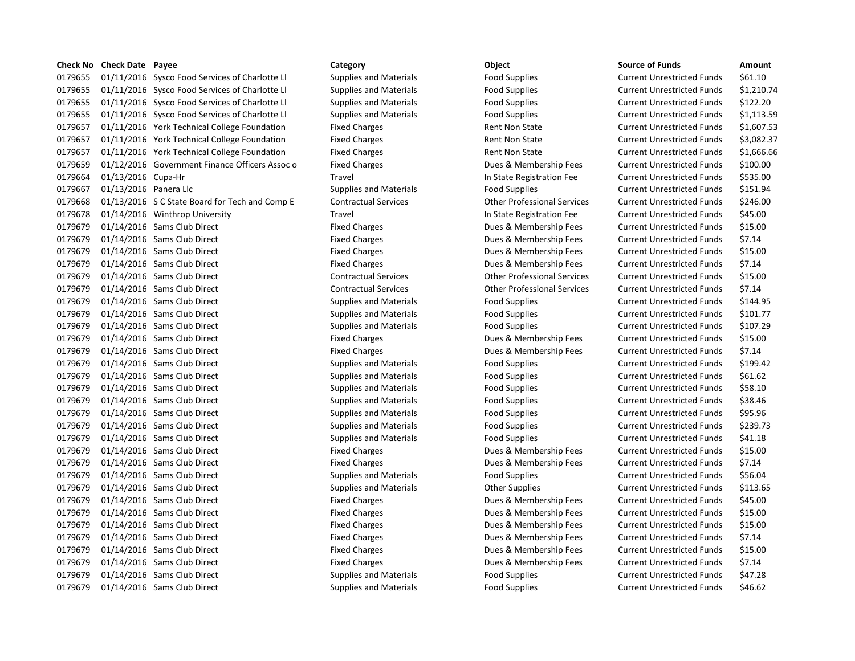## **Check No Check Date Payee Category Object Source of Funds Amount** 0179655 01/11/2016 Sysco Food Services of Charlotte Ll Supplies and Materials Food Supplies Current Unrestricted Funds \$61.10 0179655 01/11/2016 Sysco Food Services of Charlotte Ll Supplies and Materials Food Supplies Current Unrestricted Funds \$1,210.74 0179655 01/11/2016 Sysco Food Services of Charlotte Ll Supplies and Materials Food Supplies Current Unrestricted Funds \$122.20 0179655 01/11/2016 Sysco Food Services of Charlotte Ll Supplies and Materials Food Supplies Current Unrestricted Funds \$1,113.59 0179657 01/11/2016 York Technical College Foundation Fixed Charges Rent Non State Current Unrestricted Funds \$1.607.53 0179657 01/11/2016 York Technical College Foundation Fixed Charges Rent Non State Current Unrestricted Funds \$3,082.37 0179657 01/11/2016 York Technical College Foundation Fixed Charges Rent Non State Current Unrestricted Funds \$1,666.66 0179659 01/12/2016 Government Finance Officers Assoc o Fixed Charges Dues & Membership Fees Current Unrestricted Funds \$100.00 0179664 01/13/2016 Cupa-Hr **Travel Travel Current Unrestricted Funds** \$535.00 0179667 01/13/2016 Panera Llc Supplies and Materials Food Supplies Food Supplies Current Unrestricted Funds \$151.94 0179668 01/13/2016 S C State Board for Tech and Comp E Contractual Services Other Professional Services Current Unrestricted Funds \$246.00 0179678 01/14/2016 Winthrop University Travel Travel Travel In State Registration Fee Current Unrestricted Funds \$45.00 0179679 01/14/2016 Sams Club Direct **Fixed Charges** Fixed Charges **Dues & Membership Fees** Current Unrestricted Funds \$15.00 0179679 01/14/2016 Sams Club Direct **Fixed Charges** Fixed Charges Dues & Membership Fees Current Unrestricted Funds \$7.14 0179679 01/14/2016 Sams Club Direct **Fixed Charges** Fixed Charges Dues & Membership Fees Current Unrestricted Funds \$15.00 0179679 01/14/2016 Sams Club Direct **Fixed Charges** Fixed Charges Dues & Membership Fees Current Unrestricted Funds \$7.14 0179679 01/14/2016 Sams Club Direct Contractual Services Other Professional Services Current Unrestricted Funds \$15.00 0179679 01/14/2016 Sams Club Direct Contractual Services Current Professional Services Current Unrestricted Funds \$7.14 0179679 01/14/2016 Sams Club Direct Supplies Supplies and Materials Food Supplies Current Unrestricted Funds \$144.95 0179679 01/14/2016 Sams Club Direct Supplies Supplies and Materials Food Supplies Current Unrestricted Funds \$101.77 0179679 01/14/2016 Sams Club Direct Supplies and Materials Food Supplies Food Supplies Current Unrestricted Funds \$107.29 0179679 01/14/2016 Sams Club Direct **Fixed Charges** Fixed Charges Dues & Membership Fees Current Unrestricted Funds \$15.00 0179679 01/14/2016 Sams Club Direct **Fixed Charges** Fixed Charges Dues & Membership Fees Current Unrestricted Funds \$7.14 0179679 01/14/2016 Sams Club Direct Supplies Supplies and Materials Food Supplies Current Unrestricted Funds \$199.42 0179679 01/14/2016 Sams Club Direct Supplies and Materials Food Supplies Current Unrestricted Funds 561.62 0179679 01/14/2016 Sams Club Direct Supplies and Materials Food Supplies Current Unrestricted Funds 558.10 0179679 01/14/2016 Sams Club Direct Supplies and Materials Food Supplies Current Unrestricted Funds \$38.46 0179679 01/14/2016 Sams Club Direct Supplies and Materials Food Supplies Current Unrestricted Funds \$95.96 0179679 01/14/2016 Sams Club Direct Supplies Supplies and Materials Food Supplies Current Unrestricted Funds \$239.73 0179679 01/14/2016 Sams Club Direct Supplies and Materials Food Supplies Current Unrestricted Funds \$41.18 0179679 01/14/2016 Sams Club Direct **Fixed Charges** Fixed Charges Dues & Membership Fees Current Unrestricted Funds \$15.00 0179679 01/14/2016 Sams Club Direct **Fixed Charges** Fixed Charges Dues & Membership Fees Current Unrestricted Funds \$7.14 0179679 01/14/2016 Sams Club Direct Supplies and Materials Food Supplies Current Unrestricted Funds \$56.04 0179679 01/14/2016 Sams Club Direct Supplies Supplies and Materials Current Unrestricted Funds 5113.65 0179679 01/14/2016 Sams Club Direct **Fixed Charges** Fixed Charges Dues & Membership Fees Current Unrestricted Funds \$45.00 0179679 01/14/2016 Sams Club Direct **Fixed Charges** Fixed Charges Dues & Membership Fees Current Unrestricted Funds \$15.00 0179679 01/14/2016 Sams Club Direct **Fixed Charges** Fixed Charges Dues & Membership Fees Current Unrestricted Funds \$15.00 0179679 01/14/2016 Sams Club Direct **Fixed Charges** Fixed Charges Dues & Membership Fees Current Unrestricted Funds \$7.14 0179679 01/14/2016 Sams Club Direct **Fixed Charges** Fixed Charges Dues & Membership Fees Current Unrestricted Funds \$15.00 0179679 01/14/2016 Sams Club Direct **Fixed Charges** Fixed Charges Dues & Membership Fees Current Unrestricted Funds \$7.14 0179679 01/14/2016 Sams Club Direct Supplies and Materials Food Supplies Current Unrestricted Funds \$47.28 0179679 01/14/2016 Sams Club Direct Supplies and Materials Food Supplies Current Unrestricted Funds 546.62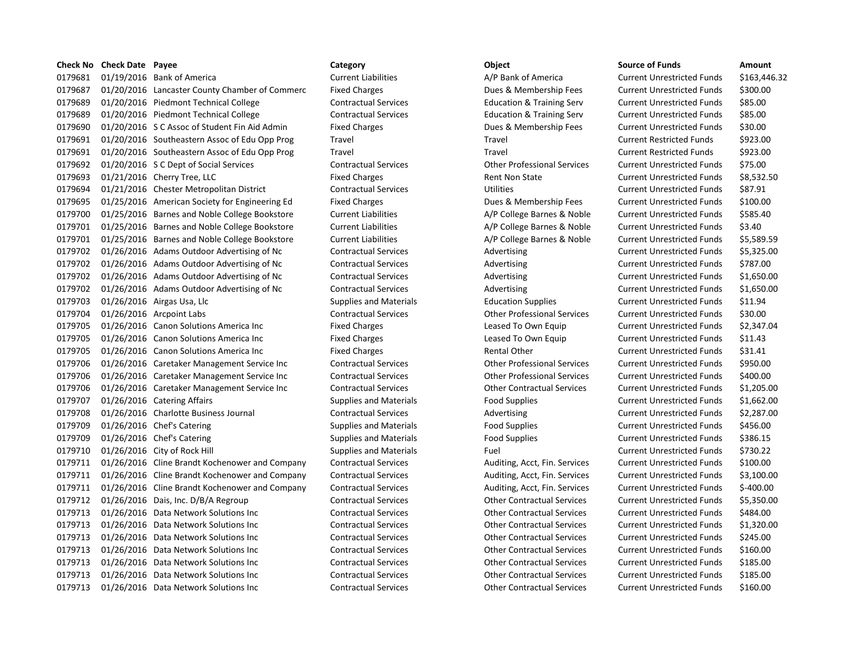| <b>Check No</b> | <b>Check Date Payee</b> |                                                | Category                      | Object                               | Source of Funds                   | Amount     |
|-----------------|-------------------------|------------------------------------------------|-------------------------------|--------------------------------------|-----------------------------------|------------|
| 0179681         |                         | 01/19/2016 Bank of America                     | <b>Current Liabilities</b>    | A/P Bank of America                  | Current Unrestricted Funds        | \$163,44   |
| 0179687         |                         | 01/20/2016 Lancaster County Chamber of Commerc | <b>Fixed Charges</b>          | Dues & Membership Fees               | <b>Current Unrestricted Funds</b> | \$300.00   |
| 0179689         |                         | 01/20/2016 Piedmont Technical College          | <b>Contractual Services</b>   | <b>Education &amp; Training Serv</b> | <b>Current Unrestricted Funds</b> | \$85.00    |
| 0179689         |                         | 01/20/2016 Piedmont Technical College          | <b>Contractual Services</b>   | <b>Education &amp; Training Serv</b> | <b>Current Unrestricted Funds</b> | \$85.00    |
| 0179690         |                         | 01/20/2016 S C Assoc of Student Fin Aid Admin  | <b>Fixed Charges</b>          | Dues & Membership Fees               | <b>Current Unrestricted Funds</b> | \$30.00    |
| 0179691         |                         | 01/20/2016 Southeastern Assoc of Edu Opp Prog  | Travel                        | Travel                               | <b>Current Restricted Funds</b>   | \$923.00   |
| 0179691         |                         | 01/20/2016 Southeastern Assoc of Edu Opp Prog  | Travel                        | Travel                               | <b>Current Restricted Funds</b>   | \$923.00   |
| 0179692         |                         | 01/20/2016 S C Dept of Social Services         | <b>Contractual Services</b>   | <b>Other Professional Services</b>   | <b>Current Unrestricted Funds</b> | \$75.00    |
| 0179693         |                         | 01/21/2016 Cherry Tree, LLC                    | <b>Fixed Charges</b>          | <b>Rent Non State</b>                | <b>Current Unrestricted Funds</b> | \$8,532.5  |
| 0179694         |                         | 01/21/2016 Chester Metropolitan District       | <b>Contractual Services</b>   | <b>Utilities</b>                     | <b>Current Unrestricted Funds</b> | \$87.91    |
| 0179695         |                         | 01/25/2016 American Society for Engineering Ed | <b>Fixed Charges</b>          | Dues & Membership Fees               | <b>Current Unrestricted Funds</b> | \$100.00   |
| 0179700         |                         | 01/25/2016 Barnes and Noble College Bookstore  | <b>Current Liabilities</b>    | A/P College Barnes & Noble           | <b>Current Unrestricted Funds</b> | \$585.40   |
| 0179701         |                         | 01/25/2016 Barnes and Noble College Bookstore  | <b>Current Liabilities</b>    | A/P College Barnes & Noble           | <b>Current Unrestricted Funds</b> | \$3.40     |
| 0179701         |                         | 01/25/2016 Barnes and Noble College Bookstore  | <b>Current Liabilities</b>    | A/P College Barnes & Noble           | <b>Current Unrestricted Funds</b> | \$5,589.5  |
| 0179702         |                         | 01/26/2016 Adams Outdoor Advertising of Nc     | <b>Contractual Services</b>   | Advertising                          | <b>Current Unrestricted Funds</b> | \$5,325.0  |
| 0179702         |                         | 01/26/2016 Adams Outdoor Advertising of Nc     | <b>Contractual Services</b>   | Advertising                          | <b>Current Unrestricted Funds</b> | \$787.00   |
| 0179702         |                         | 01/26/2016 Adams Outdoor Advertising of Nc     | <b>Contractual Services</b>   | Advertising                          | <b>Current Unrestricted Funds</b> | \$1,650.0  |
| 0179702         |                         | 01/26/2016 Adams Outdoor Advertising of Nc     | <b>Contractual Services</b>   | Advertising                          | <b>Current Unrestricted Funds</b> | \$1,650.0  |
| 0179703         |                         | 01/26/2016 Airgas Usa, Llc                     | <b>Supplies and Materials</b> | <b>Education Supplies</b>            | <b>Current Unrestricted Funds</b> | \$11.94    |
| 0179704         |                         | 01/26/2016 Arcpoint Labs                       | <b>Contractual Services</b>   | <b>Other Professional Services</b>   | <b>Current Unrestricted Funds</b> | \$30.00    |
| 0179705         |                         | 01/26/2016 Canon Solutions America Inc         | <b>Fixed Charges</b>          | Leased To Own Equip                  | <b>Current Unrestricted Funds</b> | \$2,347.0  |
| 0179705         |                         | 01/26/2016 Canon Solutions America Inc         | <b>Fixed Charges</b>          | Leased To Own Equip                  | <b>Current Unrestricted Funds</b> | \$11.43    |
| 0179705         |                         | 01/26/2016 Canon Solutions America Inc         | <b>Fixed Charges</b>          | <b>Rental Other</b>                  | <b>Current Unrestricted Funds</b> | \$31.41    |
| 0179706         |                         | 01/26/2016 Caretaker Management Service Inc    | <b>Contractual Services</b>   | <b>Other Professional Services</b>   | <b>Current Unrestricted Funds</b> | \$950.00   |
| 0179706         |                         | 01/26/2016 Caretaker Management Service Inc    | <b>Contractual Services</b>   | <b>Other Professional Services</b>   | <b>Current Unrestricted Funds</b> | \$400.00   |
| 0179706         |                         | 01/26/2016 Caretaker Management Service Inc    | <b>Contractual Services</b>   | <b>Other Contractual Services</b>    | <b>Current Unrestricted Funds</b> | \$1,205.0  |
| 0179707         |                         | 01/26/2016 Catering Affairs                    | <b>Supplies and Materials</b> | <b>Food Supplies</b>                 | <b>Current Unrestricted Funds</b> | \$1,662.0  |
| 0179708         |                         | 01/26/2016 Charlotte Business Journal          | <b>Contractual Services</b>   | Advertising                          | <b>Current Unrestricted Funds</b> | \$2,287.0  |
| 0179709         |                         | 01/26/2016 Chef's Catering                     | <b>Supplies and Materials</b> | <b>Food Supplies</b>                 | <b>Current Unrestricted Funds</b> | \$456.00   |
| 0179709         |                         | 01/26/2016 Chef's Catering                     | <b>Supplies and Materials</b> | <b>Food Supplies</b>                 | <b>Current Unrestricted Funds</b> | \$386.15   |
| 0179710         |                         | 01/26/2016 City of Rock Hill                   | <b>Supplies and Materials</b> | Fuel                                 | <b>Current Unrestricted Funds</b> | \$730.22   |
| 0179711         |                         | 01/26/2016 Cline Brandt Kochenower and Company | <b>Contractual Services</b>   | Auditing, Acct, Fin. Services        | <b>Current Unrestricted Funds</b> | \$100.00   |
| 0179711         |                         | 01/26/2016 Cline Brandt Kochenower and Company | <b>Contractual Services</b>   | Auditing, Acct, Fin. Services        | <b>Current Unrestricted Funds</b> | \$3,100.0  |
| 0179711         |                         | 01/26/2016 Cline Brandt Kochenower and Company | <b>Contractual Services</b>   | Auditing, Acct, Fin. Services        | <b>Current Unrestricted Funds</b> | $$-400.00$ |
| 0179712         |                         | 01/26/2016 Dais, Inc. D/B/A Regroup            | <b>Contractual Services</b>   | <b>Other Contractual Services</b>    | <b>Current Unrestricted Funds</b> | \$5,350.0  |
| 0179713         |                         | 01/26/2016 Data Network Solutions Inc          | <b>Contractual Services</b>   | <b>Other Contractual Services</b>    | <b>Current Unrestricted Funds</b> | \$484.00   |
| 0179713         |                         | 01/26/2016 Data Network Solutions Inc          | <b>Contractual Services</b>   | <b>Other Contractual Services</b>    | <b>Current Unrestricted Funds</b> | \$1,320.0  |
| 0179713         |                         | 01/26/2016 Data Network Solutions Inc          | <b>Contractual Services</b>   | <b>Other Contractual Services</b>    | <b>Current Unrestricted Funds</b> | \$245.00   |
| 0179713         |                         | 01/26/2016 Data Network Solutions Inc          | <b>Contractual Services</b>   | <b>Other Contractual Services</b>    | <b>Current Unrestricted Funds</b> | \$160.00   |
| 0179713         |                         | 01/26/2016 Data Network Solutions Inc          | <b>Contractual Services</b>   | <b>Other Contractual Services</b>    | <b>Current Unrestricted Funds</b> | \$185.00   |
| 0179713         |                         | 01/26/2016 Data Network Solutions Inc          | <b>Contractual Services</b>   | <b>Other Contractual Services</b>    | <b>Current Unrestricted Funds</b> | \$185.00   |
| 0179713         |                         | 01/26/2016 Data Network Solutions Inc          | <b>Contractual Services</b>   | <b>Other Contractual Services</b>    | <b>Current Unrestricted Funds</b> | \$160.00   |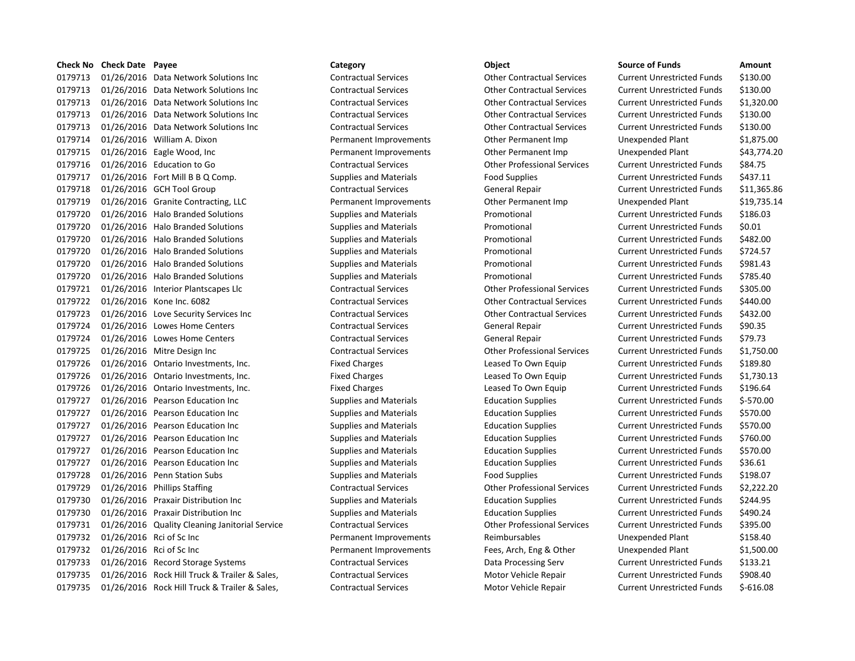# 0179713 01/26/2016 Data Network Solutions Inc Contractual Services Other Contractual Services Current Unrestricted Funds \$130.00 0179713 01/26/2016 Data Network Solutions Inc Contractual Services Other Contractual Services Current Unrestricted Funds \$130.00 0179713 01/26/2016 Data Network Solutions Inc Contractual Services Other Contractual Services Current Unrestricted Funds \$1,320.00 0179713 01/26/2016 Data Network Solutions Inc Contractual Services Other Contractual Services Current Unrestricted Funds \$130.00 0179713 01/26/2016 Data Network Solutions Inc Contractual Services Other Contractual Services Current Unrestricted Funds \$130.00 0179714 01/26/2016 William A. Dixon **Demanent Improvements** Other Permanent Imp Unexpended Plant \$1,875.00 0179715 01/26/2016 Eagle Wood, Inc Permanent Improvements Other Permanent Imp Unexpended Plant \$43,774.20 0179716 01/26/2016 Education to Go Contractual Services Other Professional Services Current Unrestricted Funds \$84.75 0179717 01/26/2016 Fort Mill B B Q Comp. Supplies and Materials Food Supplies Food Supplies Current Unrestricted Funds \$437.11 0179718 01/26/2016 GCH Tool Group Contractual Services General Repair Current Unrestricted Funds \$11,365.86 0179719 01/26/2016 Granite Contracting, LLC Permanent Improvements Other Permanent Imp Unexpended Plant \$19,735.14 0179720 01/26/2016 Halo Branded Solutions Supplies and Materials Promotional Current Unrestricted Funds \$186.03 0179720 01/26/2016 Halo Branded Solutions Supplies and Materials Promotional Current Unrestricted Funds \$0.01 0179720 01/26/2016 Halo Branded Solutions Supplies and Materials Promotional Promotional Current Unrestricted Funds \$482.00 0179720 01/26/2016 Halo Branded Solutions Supplies and Materials Promotional Current Unrestricted Funds \$724.57 0179720 01/26/2016 Halo Branded Solutions Supplies and Materials Promotional Current Unrestricted Funds \$981.43 0179720 01/26/2016 Halo Branded Solutions Supplies and Materials Promotional Promotional Current Unrestricted Funds \$785.40 0179721 01/26/2016 Interior Plantscapes Llc Contractual Services Other Professional Services Current Unrestricted Funds \$305.00 0179722 01/26/2016 Kone Inc. 6082 Contractual Services Other Contractual Services Current Unrestricted Funds \$440.00 0179723 01/26/2016 Love Security Services Inc Contractual Services Other Contractual Services Current Unrestricted Funds \$432.00 0179724 01/26/2016 Lowes Home Centers Contractual Services General Repair Current Unrestricted Funds \$90.35 0179724 01/26/2016 Lowes Home Centers Contractual Services General Repair Current Unrestricted Funds \$79.73 0179725 01/26/2016 Mitre Design Inc Contractual Services Other Professional Services Current Unrestricted Funds \$1,750.00 0179726 01/26/2016 Ontario Investments, Inc. Tixed Charges Exercicles Leased To Own Equip Current Unrestricted Funds \$189.80 0179726 01/26/2016 Ontario Investments, Inc. Tixed Charges Exercise Leased To Own Equip Current Unrestricted Funds \$1,730.13 0179726 01/26/2016 Ontario Investments, Inc. The Fixed Charges Charges Leased To Own Equip Current Unrestricted Funds \$196.64 0179727 01/26/2016 Pearson Education Inc Supplies and Materials Education Supplies Current Unrestricted Funds \$-570.00 0179727 01/26/2016 Pearson Education Inc Supplies and Materials Education Supplies Current Unrestricted Funds \$570.00 0179727 01/26/2016 Pearson Education Inc Supplies and Materials Education Supplies Current Unrestricted Funds \$570.00 0179727 01/26/2016 Pearson Education Inc Supplies and Materials Education Supplies Current Unrestricted Funds \$760.00 0179727 01/26/2016 Pearson Education Inc Supplies and Materials Education Supplies Current Unrestricted Funds \$570.00 0179727 01/26/2016 Pearson Education Inc Supplies and Materials Education Supplies Current Unrestricted Funds \$36.61 0179728 01/26/2016 Penn Station Subs Supplies and Materials Food Supplies Current Unrestricted Funds \$198.07 0179729 01/26/2016 Phillips Staffing Contractual Services Other Professional Services Current Unrestricted Funds \$2,222.20 0179730 01/26/2016 Praxair Distribution Inc Supplies and Materials Education Supplies Current Unrestricted Funds \$244.95 0179730 01/26/2016 Praxair Distribution Inc Supplies and Materials Education Supplies Current Unrestricted Funds \$490.24 0179731 01/26/2016 Quality Cleaning Janitorial Service Contractual Services Other Professional Services Current Unrestricted Funds \$395.00 0179732 01/26/2016 Rci of Sc Inc **Demanent Improvements** Reimbursables Unexpended Plant \$158.40 0179732 01/26/2016 Rci of Sc Inc Permanent Improvements Fees, Arch, Eng & Other Unexpended Plant \$1,500.00 0179733 01/26/2016 Record Storage Systems Contractual Services Data Processing Serv Current Unrestricted Funds \$133.21 0179735 01/26/2016 Rock Hill Truck & Trailer & Sales, Contractual Services Motor Vehicle Repair Current Unrestricted Funds \$908.40 0179735 01/26/2016 Rock Hill Truck & Trailer & Sales, Contractual Services Motor Vehicle Repair Current Unrestricted Funds \$-616.08

**Check No Check Date Payee Category Object Source of Funds Amount**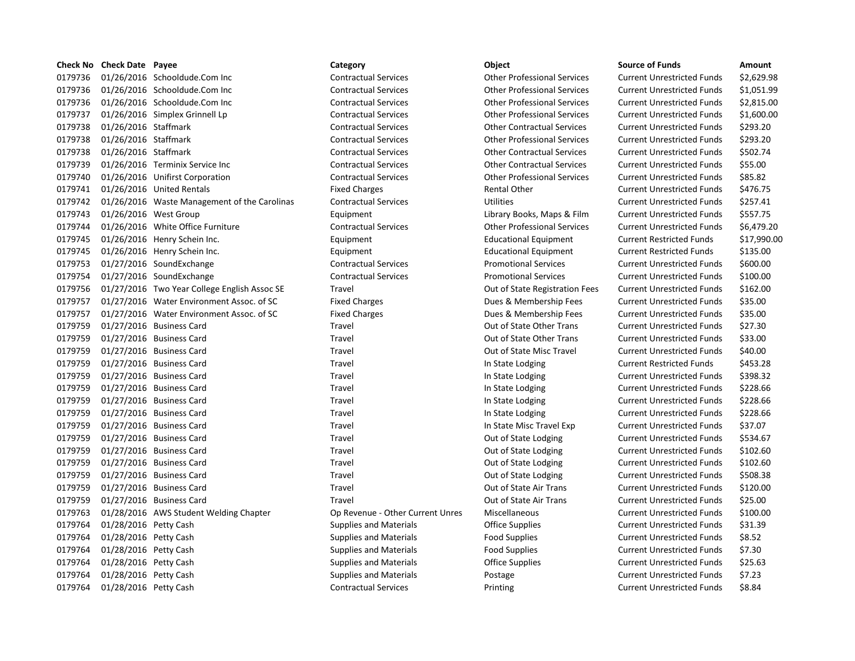| <b>Check No</b> | <b>Check Date Payee</b> |                                              | Category                         | Object                             | <b>Source of Funds</b>            | Amount      |
|-----------------|-------------------------|----------------------------------------------|----------------------------------|------------------------------------|-----------------------------------|-------------|
| 0179736         |                         | 01/26/2016 Schooldude.Com Inc                | <b>Contractual Services</b>      | <b>Other Professional Services</b> | <b>Current Unrestricted Funds</b> | \$2,629.98  |
| 0179736         |                         | 01/26/2016 Schooldude.Com Inc                | <b>Contractual Services</b>      | <b>Other Professional Services</b> | <b>Current Unrestricted Funds</b> | \$1,051.99  |
| 0179736         |                         | 01/26/2016 Schooldude.Com Inc                | <b>Contractual Services</b>      | <b>Other Professional Services</b> | <b>Current Unrestricted Funds</b> | \$2,815.00  |
| 0179737         |                         | 01/26/2016 Simplex Grinnell Lp               | <b>Contractual Services</b>      | <b>Other Professional Services</b> | <b>Current Unrestricted Funds</b> | \$1,600.00  |
| 0179738         | 01/26/2016 Staffmark    |                                              | <b>Contractual Services</b>      | <b>Other Contractual Services</b>  | <b>Current Unrestricted Funds</b> | \$293.20    |
| 0179738         | 01/26/2016 Staffmark    |                                              | <b>Contractual Services</b>      | <b>Other Professional Services</b> | <b>Current Unrestricted Funds</b> | \$293.20    |
| 0179738         | 01/26/2016 Staffmark    |                                              | <b>Contractual Services</b>      | <b>Other Contractual Services</b>  | <b>Current Unrestricted Funds</b> | \$502.74    |
| 0179739         |                         | 01/26/2016 Terminix Service Inc              | <b>Contractual Services</b>      | <b>Other Contractual Services</b>  | <b>Current Unrestricted Funds</b> | \$55.00     |
| 0179740         |                         | 01/26/2016 Unifirst Corporation              | <b>Contractual Services</b>      | <b>Other Professional Services</b> | <b>Current Unrestricted Funds</b> | \$85.82     |
| 0179741         |                         | 01/26/2016 United Rentals                    | <b>Fixed Charges</b>             | Rental Other                       | <b>Current Unrestricted Funds</b> | \$476.75    |
| 0179742         |                         | 01/26/2016 Waste Management of the Carolinas | <b>Contractual Services</b>      | <b>Utilities</b>                   | <b>Current Unrestricted Funds</b> | \$257.41    |
| 0179743         | 01/26/2016 West Group   |                                              | Equipment                        | Library Books, Maps & Film         | <b>Current Unrestricted Funds</b> | \$557.75    |
| 0179744         |                         | 01/26/2016 White Office Furniture            | <b>Contractual Services</b>      | <b>Other Professional Services</b> | <b>Current Unrestricted Funds</b> | \$6,479.20  |
| 0179745         |                         | 01/26/2016 Henry Schein Inc.                 | Equipment                        | <b>Educational Equipment</b>       | <b>Current Restricted Funds</b>   | \$17,990.00 |
| 0179745         |                         | 01/26/2016 Henry Schein Inc.                 | Equipment                        | <b>Educational Equipment</b>       | <b>Current Restricted Funds</b>   | \$135.00    |
| 0179753         |                         | 01/27/2016 SoundExchange                     | <b>Contractual Services</b>      | <b>Promotional Services</b>        | <b>Current Unrestricted Funds</b> | \$600.00    |
| 0179754         |                         | 01/27/2016 SoundExchange                     | <b>Contractual Services</b>      | <b>Promotional Services</b>        | <b>Current Unrestricted Funds</b> | \$100.00    |
| 0179756         |                         | 01/27/2016 Two Year College English Assoc SE | Travel                           | Out of State Registration Fees     | <b>Current Unrestricted Funds</b> | \$162.00    |
| 0179757         |                         | 01/27/2016 Water Environment Assoc. of SC    | <b>Fixed Charges</b>             | Dues & Membership Fees             | <b>Current Unrestricted Funds</b> | \$35.00     |
| 0179757         |                         | 01/27/2016 Water Environment Assoc. of SC    | <b>Fixed Charges</b>             | Dues & Membership Fees             | <b>Current Unrestricted Funds</b> | \$35.00     |
| 0179759         |                         | 01/27/2016 Business Card                     | Travel                           | Out of State Other Trans           | <b>Current Unrestricted Funds</b> | \$27.30     |
| 0179759         |                         | 01/27/2016 Business Card                     | Travel                           | Out of State Other Trans           | <b>Current Unrestricted Funds</b> | \$33.00     |
| 0179759         |                         | 01/27/2016 Business Card                     | Travel                           | Out of State Misc Travel           | <b>Current Unrestricted Funds</b> | \$40.00     |
| 0179759         |                         | 01/27/2016 Business Card                     | Travel                           | In State Lodging                   | <b>Current Restricted Funds</b>   | \$453.28    |
| 0179759         |                         | 01/27/2016 Business Card                     | Travel                           | In State Lodging                   | <b>Current Unrestricted Funds</b> | \$398.32    |
| 0179759         |                         | 01/27/2016 Business Card                     | Travel                           | In State Lodging                   | <b>Current Unrestricted Funds</b> | \$228.66    |
| 0179759         |                         | 01/27/2016 Business Card                     | Travel                           | In State Lodging                   | <b>Current Unrestricted Funds</b> | \$228.66    |
| 0179759         |                         | 01/27/2016 Business Card                     | Travel                           | In State Lodging                   | <b>Current Unrestricted Funds</b> | \$228.66    |
| 0179759         |                         | 01/27/2016 Business Card                     | Travel                           | In State Misc Travel Exp           | <b>Current Unrestricted Funds</b> | \$37.07     |
| 0179759         |                         | 01/27/2016 Business Card                     | Travel                           | Out of State Lodging               | <b>Current Unrestricted Funds</b> | \$534.67    |
| 0179759         |                         | 01/27/2016 Business Card                     | Travel                           | Out of State Lodging               | <b>Current Unrestricted Funds</b> | \$102.60    |
| 0179759         |                         | 01/27/2016 Business Card                     | Travel                           | Out of State Lodging               | <b>Current Unrestricted Funds</b> | \$102.60    |
| 0179759         |                         | 01/27/2016 Business Card                     | Travel                           | Out of State Lodging               | <b>Current Unrestricted Funds</b> | \$508.38    |
| 0179759         |                         | 01/27/2016 Business Card                     | Travel                           | Out of State Air Trans             | <b>Current Unrestricted Funds</b> | \$120.00    |
| 0179759         |                         | 01/27/2016 Business Card                     | Travel                           | Out of State Air Trans             | <b>Current Unrestricted Funds</b> | \$25.00     |
| 0179763         |                         | 01/28/2016 AWS Student Welding Chapter       | Op Revenue - Other Current Unres | Miscellaneous                      | <b>Current Unrestricted Funds</b> | \$100.00    |
| 0179764         | 01/28/2016 Petty Cash   |                                              | <b>Supplies and Materials</b>    | <b>Office Supplies</b>             | <b>Current Unrestricted Funds</b> | \$31.39     |
| 0179764         | 01/28/2016 Petty Cash   |                                              | <b>Supplies and Materials</b>    | Food Supplies                      | <b>Current Unrestricted Funds</b> | \$8.52      |
| 0179764         | 01/28/2016 Petty Cash   |                                              | <b>Supplies and Materials</b>    | <b>Food Supplies</b>               | <b>Current Unrestricted Funds</b> | \$7.30      |
| 0179764         | 01/28/2016 Petty Cash   |                                              | <b>Supplies and Materials</b>    | Office Supplies                    | <b>Current Unrestricted Funds</b> | \$25.63     |
| 0179764         | 01/28/2016 Petty Cash   |                                              | <b>Supplies and Materials</b>    | Postage                            | <b>Current Unrestricted Funds</b> | \$7.23      |
| 0179764         | 01/28/2016 Petty Cash   |                                              | <b>Contractual Services</b>      | Printing                           | <b>Current Unrestricted Funds</b> | \$8.84      |